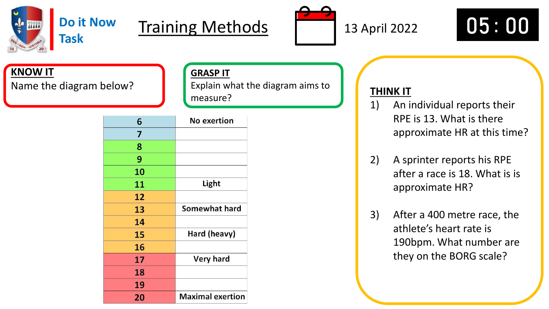

# Training Methods  $\sqrt{ }$  13 April 2022  $\sqrt{ }$  05:00

**GRASP IT**

measure?

Explain what the diagram aims to





### **KNOW IT**

Name the diagram below? **The Communisty of the Universe of the Communisty of the Communisty of the THINK IT** 

| 6  | <b>No exertion</b>      |
|----|-------------------------|
| 7  |                         |
| 8  |                         |
| 9  |                         |
| 10 |                         |
| 11 | Light                   |
| 12 |                         |
| 13 | Somewhat hard           |
| 14 |                         |
| 15 | Hard (heavy)            |
| 16 |                         |
| 17 | <b>Very hard</b>        |
| 18 |                         |
| 19 |                         |
| 20 | <b>Maximal exertion</b> |

- 1) An individual reports their RPE is 13. What is there approximate HR at this time?
- 2) A sprinter reports his RPE after a race is 18. What is is approximate HR?
- 3) After a 400 metre race, the athlete's heart rate is 190bpm. What number are they on the BORG scale?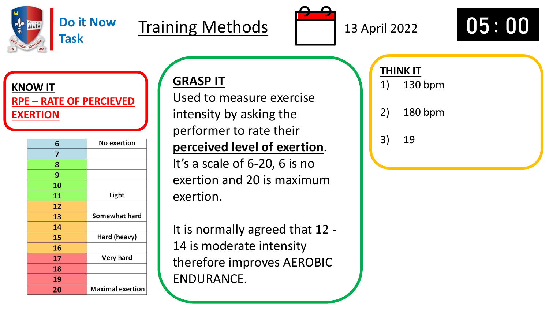

### **Do it Now Task**

# Training Methods  $\sqrt{13}$  13 April 2022  $\sqrt{05}$ : 00





**KNOW IT RPE – RATE OF PERCIEVED EXERTION**

| 6  | <b>No exertion</b>      |
|----|-------------------------|
| 7  |                         |
| 8  |                         |
| 9  |                         |
| 10 |                         |
| 11 | Light                   |
| 12 |                         |
| 13 | Somewhat hard           |
| 14 |                         |
| 15 | Hard (heavy)            |
| 16 |                         |
| 17 | <b>Very hard</b>        |
| 18 |                         |
| 19 |                         |
| 20 | <b>Maximal exertion</b> |

# **GRASP IT**

Used to measure exercise intensity by asking the performer to rate their **perceived level of exertion**. It's a scale of 6-20, 6 is no exertion and 20 is maximum exertion.

It is normally agreed that 12 - 14 is moderate intensity therefore improves AEROBIC ENDURANCE.

## **THINK IT**

- 1) 130 bpm
- 2) 180 bpm
- 3) 19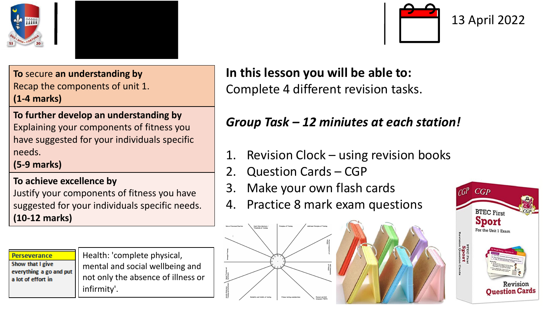



**To** secure **an understanding by** Recap the components of unit 1. **(1-4 marks)**

### **To further develop an understanding by**

Explaining your components of fitness you have suggested for your individuals specific needs.

**(5-9 marks)**

#### **To achieve excellence by**

Justify your components of fitness you have suggested for your individuals specific needs. **(10-12 marks)**

**Perseverance** Show that I give everything a go and put a lot of effort in

Health: 'complete physical, mental and social wellbeing and not only the absence of illness or infirmity'.



## **In this lesson you will be able to:** Complete 4 different revision tasks.

## *Group Task – 12 miniutes at each station!*

- Revision Clock using revision books
- 2. Question Cards CGP
- 3. Make your own flash cards
- 4. Practice 8 mark exam questions



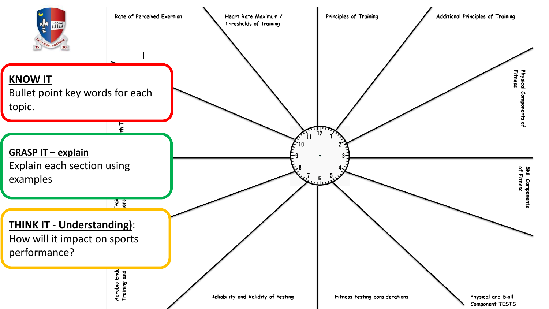